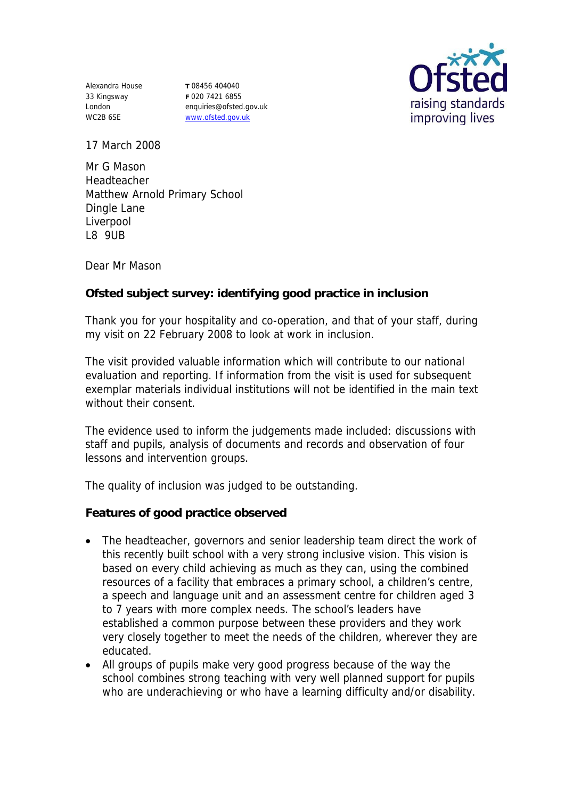Alexandra House 33 Kingsway London WC2B 6SE

**T** 08456 404040 **F** 020 7421 6855 enquiries@ofsted.gov.uk www.ofsted.gov.uk



17 March 2008

Mr G Mason Headteacher Matthew Arnold Primary School Dingle Lane Liverpool L8 9UB

Dear Mr Mason

**Ofsted subject survey: identifying good practice in inclusion**

Thank you for your hospitality and co-operation, and that of your staff, during my visit on 22 February 2008 to look at work in inclusion.

The visit provided valuable information which will contribute to our national evaluation and reporting. If information from the visit is used for subsequent exemplar materials individual institutions will not be identified in the main text without their consent

The evidence used to inform the judgements made included: discussions with staff and pupils, analysis of documents and records and observation of four lessons and intervention groups.

The quality of inclusion was judged to be outstanding.

**Features of good practice observed**

- The headteacher, governors and senior leadership team direct the work of this recently built school with a very strong inclusive vision. This vision is based on every child achieving as much as they can, using the combined resources of a facility that embraces a primary school, a children's centre, a speech and language unit and an assessment centre for children aged 3 to 7 years with more complex needs. The school's leaders have established a common purpose between these providers and they work very closely together to meet the needs of the children, wherever they are educated.
- All groups of pupils make very good progress because of the way the school combines strong teaching with very well planned support for pupils who are underachieving or who have a learning difficulty and/or disability.